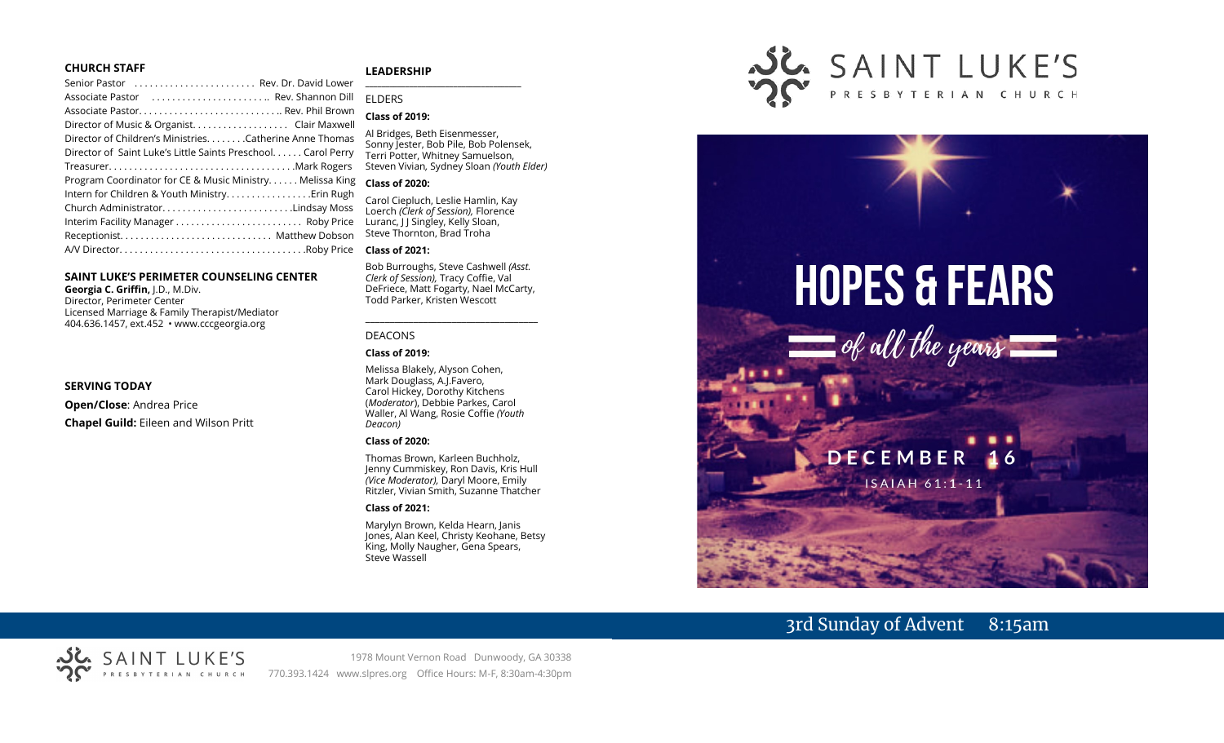#### **CHURCH STAFF**

#### **LEADERSHIP**

| Associate Pastor  Rev. Shannon Dill                           |  |
|---------------------------------------------------------------|--|
|                                                               |  |
|                                                               |  |
| Director of Children's MinistriesCatherine Anne Thomas        |  |
| Director of Saint Luke's Little Saints Preschool. Carol Perry |  |
|                                                               |  |
| Program Coordinator for CE & Music Ministry Melissa King      |  |
| Intern for Children & Youth Ministry. Erin Rugh               |  |
| Church AdministratorLindsay Moss                              |  |
|                                                               |  |
|                                                               |  |
|                                                               |  |
|                                                               |  |

#### **SAINT LUKE'S PERIMETER COUNSELING CENTER**

**Georgia C. Griffin,** J.D., M.Div. Director, Perimeter Center Licensed Marriage & Family Therapist/Mediator 404.636.1457, ext.452 • www.cccgeorgia.org

#### **SERVING TODAY**

**Open/Close**: Andrea Price **Chapel Guild:** Eileen and Wilson Pritt

#### **\_\_\_\_\_\_\_\_\_\_\_\_\_\_\_\_\_\_\_\_\_\_\_\_\_\_\_\_\_\_\_\_\_\_\_\_\_\_\_** ELDERS

#### **Class of 2019:**

Al Bridges, Beth Eisenmesser, Sonny Jester, Bob Pile, Bob Polensek, Terri Potter, Whitney Samuelson, Steven Vivian*,* Sydney Sloan *(Youth Elder)*

#### **Class of 2020:**

Carol Ciepluch, Leslie Hamlin, Kay Loerch *(Clerk of Session),* Florence Luranc, J J Singley, Kelly Sloan, Steve Thornton, Brad Troha

#### **Class of 2021:**

Bob Burroughs, Steve Cashwell *(Asst. Clerk of Session),* Tracy Coffie, Val DeFriece, Matt Fogarty, Nael McCarty, Todd Parker, Kristen Wescott

\_\_\_\_\_\_\_\_\_\_\_\_\_\_\_\_\_\_\_\_\_\_\_\_\_\_\_\_\_\_\_\_\_\_\_\_

#### DEACONS

#### **Class of 2019:**

Melissa Blakely, Alyson Cohen, Mark Douglass, A.J.Favero, Carol Hickey, Dorothy Kitchens (*Moderator*), Debbie Parkes, Carol Waller, Al Wang, Rosie Coffie *(Youth Deacon)* 

#### **Class of 2020:**

Thomas Brown, Karleen Buchholz, Jenny Cummiskey, Ron Davis, Kris Hull *(Vice Moderator),* Daryl Moore, Emily Ritzler, Vivian Smith, Suzanne Thatcher

#### **Class of 2021:**

Marylyn Brown, Kelda Hearn, Janis Jones, Alan Keel, Christy Keohane, Betsy King, Molly Naugher, Gena Spears, Steve Wassell





# 3rd Sunday of Advent 8:15am



1978 Mount Vernon Road Dunwoody, GA 30338 770.393.1424 www.slpres.org Office Hours: M-F, 8:30am-4:30pm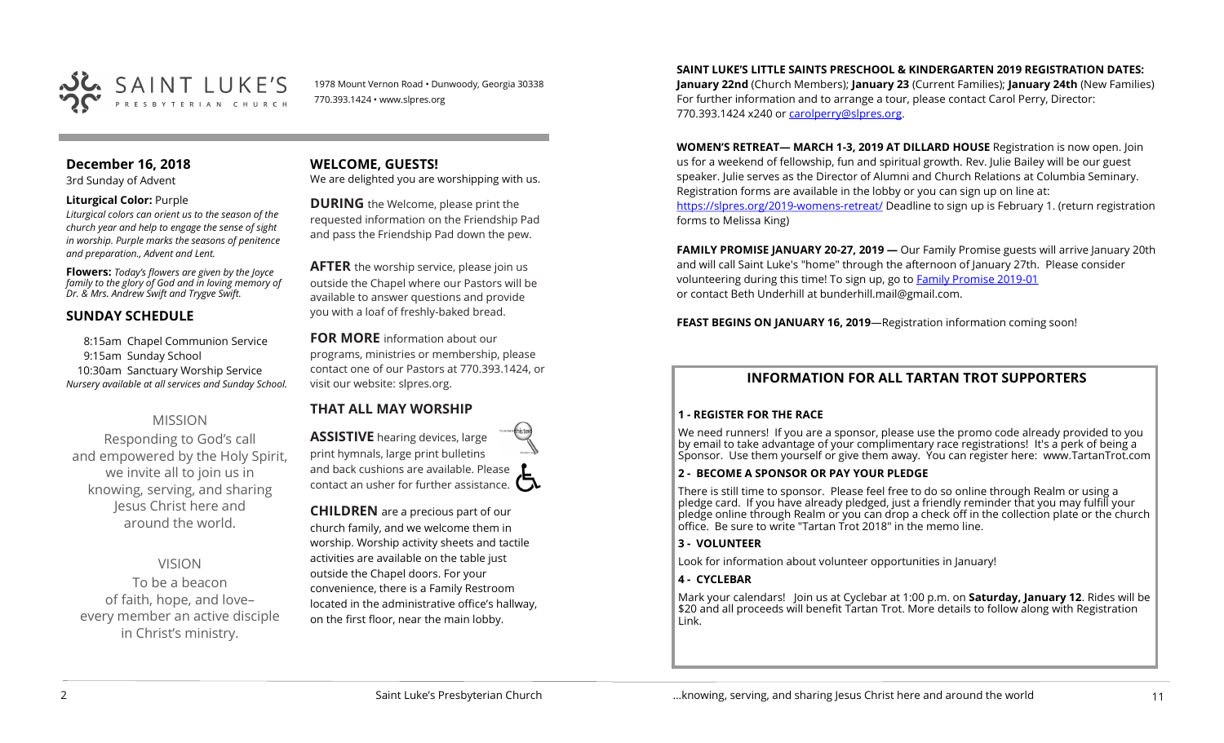

1978 Mount Vernon Road • Dunwoody, Georgia 30338 770.393.1424 • www.slpres.org

# **December 16, 2018**

3rd Sunday of Advent

#### **Liturgical Color:** Purple

*Liturgical colors can orient us to the season of the church year and help to engage the sense of sight in worship. Purple marks the seasons of penitence and preparation., Advent and Lent.* 

**Flowers:** *Today's flowers are given by the Joyce family to the glory of God and in loving memory of Dr. & Mrs. Andrew Swift and Trygve Swift.*

# **SUNDAY SCHEDULE**

8:15am Chapel Communion Service 9:15am Sunday School 10:30am Sanctuary Worship Service *Nursery available at all services and Sunday School.* 

# MISSION

Responding to God's call and empowered by the Holy Spirit, we invite all to join us in knowing, serving, and sharing Jesus Christ here and around the world.

VISION

To be a beacon of faith, hope, and love– every member an active disciple in Christ's ministry.

**WELCOME, GUESTS!**  We are delighted you are worshipping with us.

**DURING** the Welcome, please print the requested information on the Friendship Pad and pass the Friendship Pad down the pew.

**AFTER** the worship service, please join us outside the Chapel where our Pastors will be available to answer questions and provide you with a loaf of freshly-baked bread.

**FOR MORE** information about our programs, ministries or membership, please contact one of our Pastors at 770.393.1424, or visit our website: slpres.org.

# **THAT ALL MAY WORSHIP**

**ASSISTIVE** hearing devices, large print hymnals, large print bulletins and back cushions are available. Please contact an usher for further assistance.  $\Box$ 

**CHILDREN** are a precious part of our church family, and we welcome them in worship. Worship activity sheets and tactile activities are available on the table just outside the Chapel doors. For your convenience, there is a Family Restroom located in the administrative office's hallway, on the first floor, near the main lobby.

#### **SAINT LUKE'S LITTLE SAINTS PRESCHOOL & KINDERGARTEN 2019 REGISTRATION DATES:**

**January 22nd** (Church Members); **January 23** (Current Families); **January 24th** (New Families) For further information and to arrange a tour, please contact Carol Perry, Director: 770.393.1424 x240 or [carolperry@slpres.org.](mailto:carolperry@slpres.org)

**WOMEN'S RETREAT— MARCH 1-3, 2019 AT DILLARD HOUSE** Registration is now open. Join us for a weekend of fellowship, fun and spiritual growth. Rev. Julie Bailey will be our guest speaker. Julie serves as the Director of Alumni and Church Relations at Columbia Seminary. Registration forms are available in the lobby or you can sign up on line at: [https://slpres.org/2019](https://slpres.org/2019-womens-retreat/)-womens-retreat/ Deadline to sign up is February 1. (return registration forms to Melissa King)

**FAMILY PROMISE JANUARY 20-27, 2019 —** Our Family Promise guests will arrive January 20th and will call Saint Luke's "home" through the afternoon of January 27th. Please consider volunteering during this time! To sign up, go to **[Family Promise 2019](https://tinyurl.com/FPSLPC2019-01)-01** or contact Beth Underhill at bunderhill.mail@gmail.com.

**FEAST BEGINS ON JANUARY 16, 2019**—Registration information coming soon!

# **INFORMATION FOR ALL TARTAN TROT SUPPORTERS**

#### **1 - REGISTER FOR THE RACE**

We need runners! If you are a sponsor, please use the promo code already provided to you by email to take advantage of your complimentary race registrations! It's a perk of being a Sponsor. Use them yourself or give them away. You can register here: www.TartanTrot.com

#### **2 - BECOME A SPONSOR OR PAY YOUR PLEDGE**

There is still time to sponsor. Please feel free to do so online through Realm or using a pledge card. If you have already pledged, just a friendly reminder that you may fulfill your pledge online through Realm or you can drop a check off in the collection plate or the church office. Be sure to write "Tartan Trot 2018" in the memo line.

#### **3 - VOLUNTEER**

Look for information about volunteer opportunities in January!

#### **4 - CYCLEBAR**

Mark your calendars! Join us at Cyclebar at 1:00 p.m. on **Saturday, January 12**. Rides will be \$20 and all proceeds will benefit Tartan Trot. More details to follow along with Registration Link.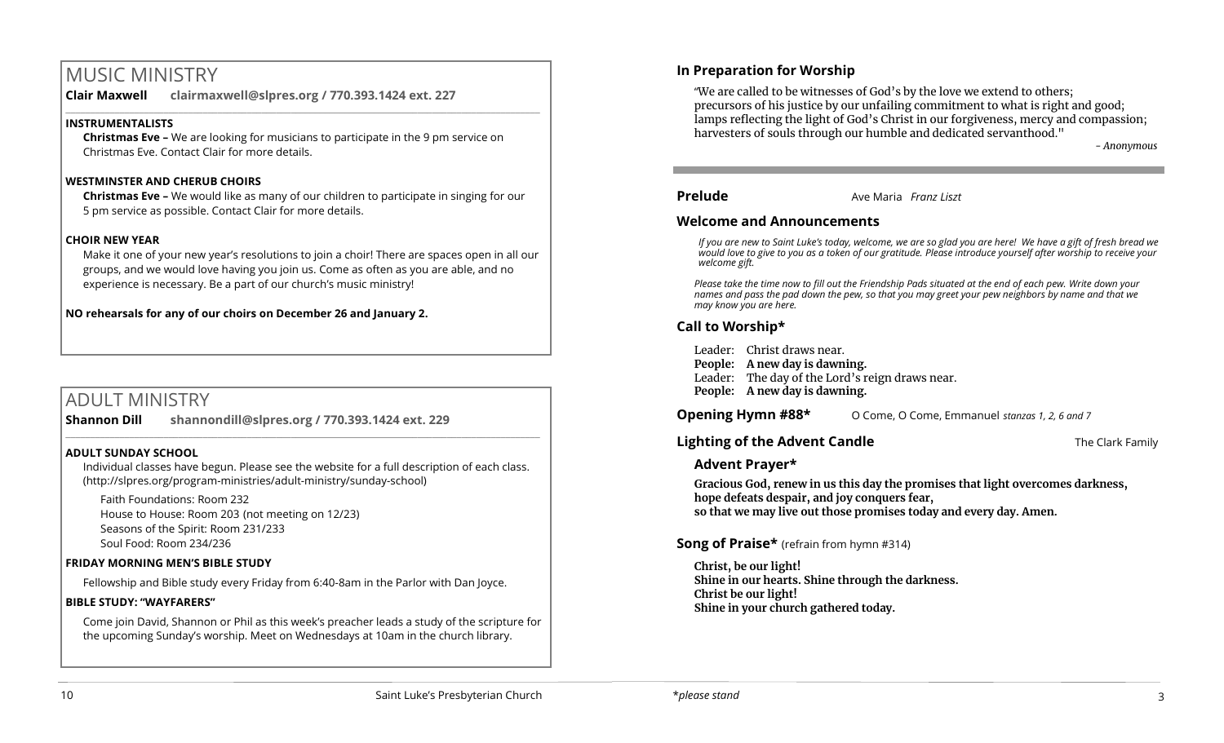# MUSIC MINISTRY

**Clair Maxwell clairmaxwell@slpres.org / 770.393.1424 ext. 227** 

# **INSTRUMENTALISTS**

**Christmas Eve –** We are looking for musicians to participate in the 9 pm service on Christmas Eve. Contact Clair for more details.

 $\_$  ,  $\_$  ,  $\_$  ,  $\_$  ,  $\_$  ,  $\_$  ,  $\_$  ,  $\_$  ,  $\_$  ,  $\_$  ,  $\_$  ,  $\_$  ,  $\_$  ,  $\_$  ,  $\_$  ,  $\_$  ,  $\_$  ,  $\_$  ,  $\_$ 

#### **WESTMINSTER AND CHERUB CHOIRS**

**Christmas Eve –** We would like as many of our children to participate in singing for our 5 pm service as possible. Contact Clair for more details.

#### **CHOIR NEW YEAR**

Make it one of your new year's resolutions to join a choir! There are spaces open in all our groups, and we would love having you join us. Come as often as you are able, and no experience is necessary. Be a part of our church's music ministry!

**NO rehearsals for any of our choirs on December 26 and January 2.**

# ADULT MINISTRY

**Shannon Dill shannondill@slpres.org / 770.393.1424 ext. 229**   $\_$  ,  $\_$  ,  $\_$  ,  $\_$  ,  $\_$  ,  $\_$  ,  $\_$  ,  $\_$  ,  $\_$  ,  $\_$  ,  $\_$  ,  $\_$  ,  $\_$  ,  $\_$  ,  $\_$  ,  $\_$  ,  $\_$  ,  $\_$  ,  $\_$ 

#### **ADULT SUNDAY SCHOOL**

Individual classes have begun. Please see the website for a full description of each class. (http://slpres.org/program-ministries/adult-ministry/sunday-school)

Faith Foundations: Room 232 House to House: Room 203 (not meeting on 12/23) Seasons of the Spirit: Room 231/233 Soul Food: Room 234/236

# **FRIDAY MORNING MEN'S BIBLE STUDY**

Fellowship and Bible study every Friday from 6:40-8am in the Parlor with Dan Joyce.

#### **BIBLE STUDY: "WAYFARERS"**

Come join David, Shannon or Phil as this week's preacher leads a study of the scripture for the upcoming Sunday's worship. Meet on Wednesdays at 10am in the church library.

# **In Preparation for Worship**

l

"We are called to be witnesses of God's by the love we extend to others; precursors of his justice by our unfailing commitment to what is right and good; lamps reflecting the light of God's Christ in our forgiveness, mercy and compassion; harvesters of souls through our humble and dedicated servanthood."

*- Anonymous*

#### **Prelude** Ave Maria *Franz Liszt*

#### **Welcome and Announcements**

*If you are new to Saint Luke's today, welcome, we are so glad you are here! We have a gift of fresh bread we would love to give to you as a token of our gratitude. Please introduce yourself after worship to receive your welcome gift.*

*Please take the time now to fill out the Friendship Pads situated at the end of each pew. Write down your names and pass the pad down the pew, so that you may greet your pew neighbors by name and that we may know you are here.*

# **Call to Worship\***

Leader: Christ draws near. **People: A new day is dawning.** Leader: The day of the Lord's reign draws near.

**People: A new day is dawning.**

**Opening Hymn #88\*** O Come, O Come, Emmanuel *stanzas 1, 2, 6 and 7* 

# **Lighting of the Advent Candle The Clark Family The Clark Family**

# **Advent Prayer\***

**Gracious God, renew in us this day the promises that light overcomes darkness, hope defeats despair, and joy conquers fear, so that we may live out those promises today and every day. Amen.** 

# **Song of Praise\*** (refrain from hymn #314)

**Christ, be our light! Shine in our hearts. Shine through the darkness. Christ be our light! Shine in your church gathered today.**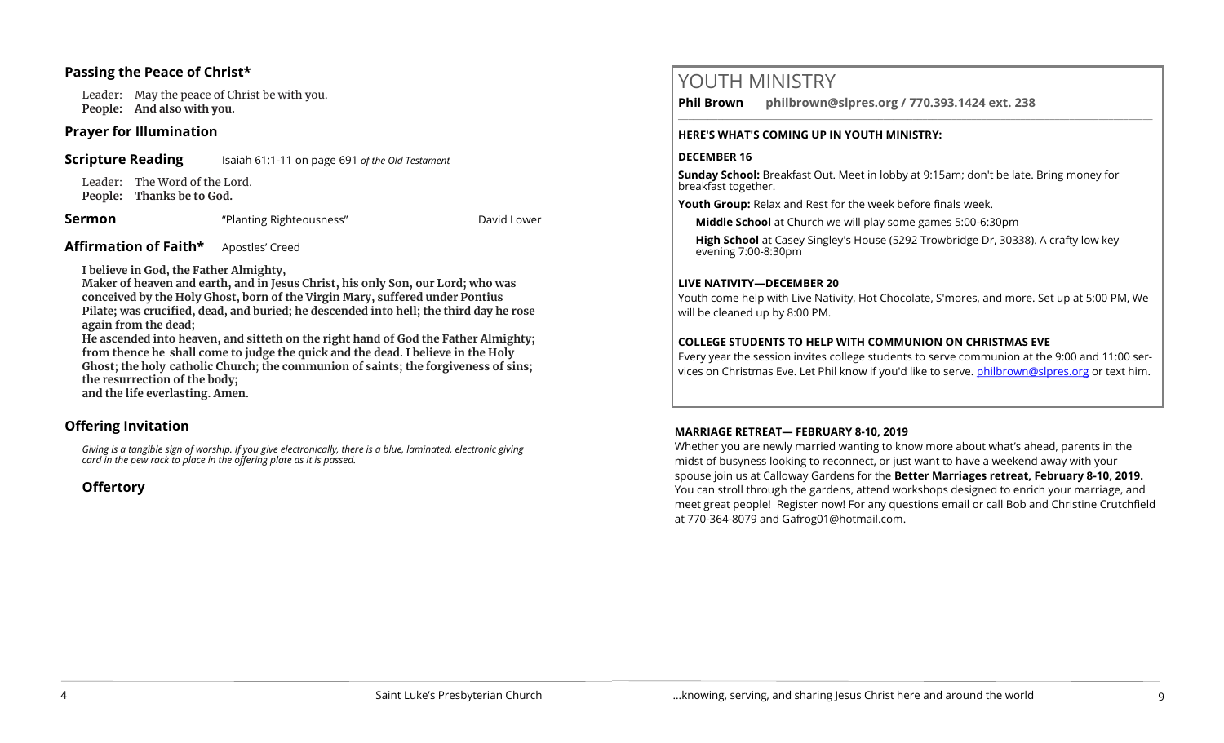# **Passing the Peace of Christ\***

Leader: May the peace of Christ be with you. **People: And also with you.** 

#### **Prayer for Illumination**

**Scripture Reading** Isaiah 61:1-11 on page 691 of the Old Testament

Leader: The Word of the Lord. **People: Thanks be to God.** 

**Sermon Example 2** *"Planting Righteousness"* **David Lower** David Lower

**Affirmation of Faith\*** Apostles' Creed

**I believe in God, the Father Almighty,**

**Maker of heaven and earth, and in Jesus Christ, his only Son, our Lord; who was conceived by the Holy Ghost, born of the Virgin Mary, suffered under Pontius Pilate; was crucified, dead, and buried; he descended into hell; the third day he rose again from the dead;**

**He ascended into heaven, and sitteth on the right hand of God the Father Almighty; from thence he shall come to judge the quick and the dead. I believe in the Holy Ghost; the holy catholic Church; the communion of saints; the forgiveness of sins; the resurrection of the body;** 

**and the life everlasting. Amen.**

# **Offering Invitation**

*Giving is a tangible sign of worship. If you give electronically, there is a blue, laminated, electronic giving card in the pew rack to place in the offering plate as it is passed.*

**Offertory** 

# YOUTH MINISTRY

**Phil Brown philbrown@slpres.org / 770.393.1424 ext. 238**   $\_$  ,  $\_$  ,  $\_$  ,  $\_$  ,  $\_$  ,  $\_$  ,  $\_$  ,  $\_$  ,  $\_$  ,  $\_$  ,  $\_$  ,  $\_$  ,  $\_$  ,  $\_$  ,  $\_$  ,  $\_$  ,  $\_$  ,  $\_$  ,  $\_$ 

#### **HERE'S WHAT'S COMING UP IN YOUTH MINISTRY:**

# **DECEMBER 16**

**Sunday School:** Breakfast Out. Meet in lobby at 9:15am; don't be late. Bring money for breakfast together.

**Youth Group:** Relax and Rest for the week before finals week.

**Middle School** at Church we will play some games 5:00-6:30pm

**High School** at Casey Singley's House (5292 Trowbridge Dr, 30338). A crafty low key evening 7:00-8:30pm

# **LIVE NATIVITY—DECEMBER 20**

Youth come help with Live Nativity, Hot Chocolate, S'mores, and more. Set up at 5:00 PM, We will be cleaned up by 8:00 PM.

# **COLLEGE STUDENTS TO HELP WITH COMMUNION ON CHRISTMAS EVE**

Every year the session invites college students to serve communion at the 9:00 and 11:00 services on Christmas Eve. Let Phil know if you'd like to serve. [philbrown@slpres.org](mailto:philbrown@slpres.org) or text him.

# **MARRIAGE RETREAT— FEBRUARY 8-10, 2019**

Whether you are newly married wanting to know more about what's ahead, parents in the midst of busyness looking to reconnect, or just want to have a weekend away with your spouse join us at Calloway Gardens for the **Better Marriages retreat, February 8-10, 2019.**  You can stroll through the gardens, attend workshops designed to enrich your marriage, and meet great people! Register now! For any questions email or call Bob and Christine Crutchfield at 770-364-8079 and [Gafrog01@hotmail.com.](mailto:Gafrog01@hotmail.com)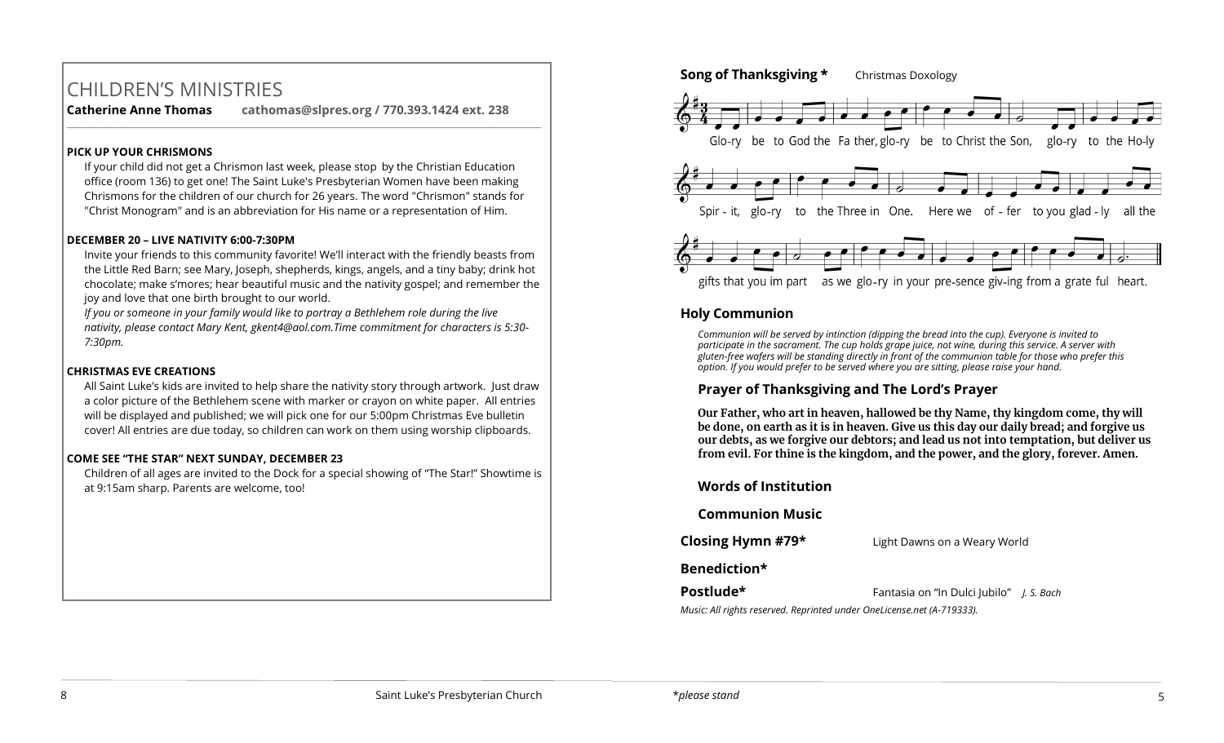# CHILDREN'S MINISTRIES

**Catherine Anne Thomas cathomas@slpres.org / 770.393.1424 ext. 238** 

#### **PICK UP YOUR CHRISMONS**

If your child did not get a Chrismon last week, please stop by the Christian Education office (room 136) to get one! The Saint Luke's Presbyterian Women have been making Chrismons for the children of our church for 26 years. The word "Chrismon" stands for "Christ Monogram" and is an abbreviation for His name or a representation of Him.

 $\_$  ,  $\_$  ,  $\_$  ,  $\_$  ,  $\_$  ,  $\_$  ,  $\_$  ,  $\_$  ,  $\_$  ,  $\_$  ,  $\_$  ,  $\_$  ,  $\_$  ,  $\_$  ,  $\_$  ,  $\_$  ,  $\_$  ,  $\_$  ,  $\_$  ,  $\_$ 

#### **DECEMBER 20 – LIVE NATIVITY 6:00-7:30PM**

Invite your friends to this community favorite! We'll interact with the friendly beasts from the Little Red Barn; see Mary, Joseph, shepherds, kings, angels, and a tiny baby; drink hot chocolate; make s'mores; hear beautiful music and the nativity gospel; and remember the joy and love that one birth brought to our world.

*If you or someone in your family would like to portray a Bethlehem role during the live nativity, please contact Mary Kent, [gkent4@aol.com.T](mailto:gkent4@aol.com)ime commitment for characters is 5:30- 7:30pm.*

#### **CHRISTMAS EVE CREATIONS**

All Saint Luke's kids are invited to help share the nativity story through artwork. Just draw a color picture of the Bethlehem scene with marker or crayon on white paper. All entries will be displayed and published; we will pick one for our 5:00pm Christmas Eve bulletin cover! All entries are due today, so children can work on them using worship clipboards.

#### **COME SEE "THE STAR" NEXT SUNDAY, DECEMBER 23**

Children of all ages are invited to the Dock for a special showing of "The Star!" Showtime is at 9:15am sharp. Parents are welcome, too!

# **Song of Thanksgiving \*** Christmas Doxology Glo-ry be to God the Fa ther, glo-ry be to Christ the Son, glo-ry to the Ho-ly Spir - it, glo-ry to the Three in One. Here we of - fer to you glad - ly all the gifts that you im part as we glo-ry in your pre-sence giv-ing from a grate ful heart.

# **Holy Communion**

*Communion will be served by intinction (dipping the bread into the cup). Everyone is invited to participate in the sacrament. The cup holds grape juice, not wine, during this service. A server with gluten-free wafers will be standing directly in front of the communion table for those who prefer this option. If you would prefer to be served where you are sitting, please raise your hand.*

# **Prayer of Thanksgiving and The Lord's Prayer**

**Our Father, who art in heaven, hallowed be thy Name, thy kingdom come, thy will be done, on earth as it is in heaven. Give us this day our daily bread; and forgive us our debts, as we forgive our debtors; and lead us not into temptation, but deliver us from evil. For thine is the kingdom, and the power, and the glory, forever. Amen.**

# **Words of Institution Communion Music Closing Hymn #79\*** Light Dawns on a Weary World **Benediction\* Postlude\*** Fantasia on "In Dulci Jubilo" *J. S. Bach*

*Music: All rights reserved. Reprinted under OneLicense.net (A-719333).*

#### 8 Saint Luke's Presbyterian Church